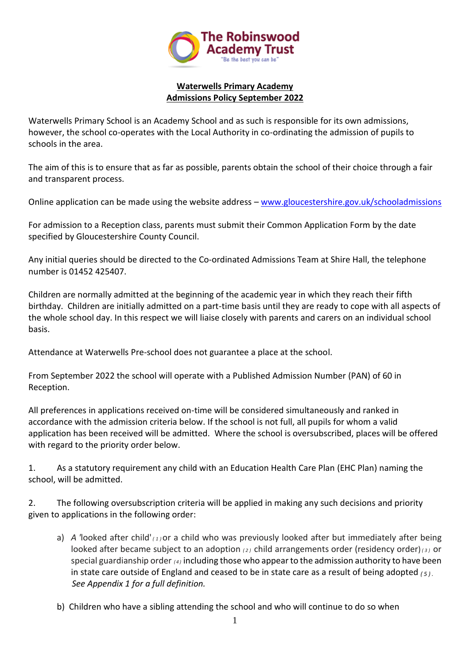

#### **Waterwells Primary Academy Admissions Policy September 2022**

Waterwells Primary School is an Academy School and as such is responsible for its own admissions, however, the school co-operates with the Local Authority in co-ordinating the admission of pupils to schools in the area.

The aim of this is to ensure that as far as possible, parents obtain the school of their choice through a fair and transparent process.

Online application can be made using the website address – [www.gloucestershire.gov.uk/schooladmissions](http://www.gloucestershire.gov.uk/schooladmissions)

For admission to a Reception class, parents must submit their Common Application Form by the date specified by Gloucestershire County Council.

Any initial queries should be directed to the Co-ordinated Admissions Team at Shire Hall, the telephone number is 01452 425407.

Children are normally admitted at the beginning of the academic year in which they reach their fifth birthday. Children are initially admitted on a part-time basis until they are ready to cope with all aspects of the whole school day. In this respect we will liaise closely with parents and carers on an individual school basis.

Attendance at Waterwells Pre-school does not guarantee a place at the school.

From September 2022 the school will operate with a Published Admission Number (PAN) of 60 in Reception.

All preferences in applications received on-time will be considered simultaneously and ranked in accordance with the admission criteria below. If the school is not full, all pupils for whom a valid application has been received will be admitted. Where the school is oversubscribed, places will be offered with regard to the priority order below.

1. As a statutory requirement any child with an Education Health Care Plan (EHC Plan) naming the school, will be admitted.

2. The following oversubscription criteria will be applied in making any such decisions and priority given to applications in the following order:

- a) *A '*looked after child' *( <sup>1</sup> )*or a child who was previously looked after but immediately after being looked after became subject to an adoption *( <sup>2</sup> )* child arrangements order (residency order)*( <sup>3</sup> )* or special guardianship order *( <sup>4</sup> )* including those who appearto the admission authority to have been in state care outside of England and ceased to be in state care as a result of being adopted *( <sup>5</sup> ) . See Appendix 1 for a full definition.*
- b) Children who have a sibling attending the school and who will continue to do so when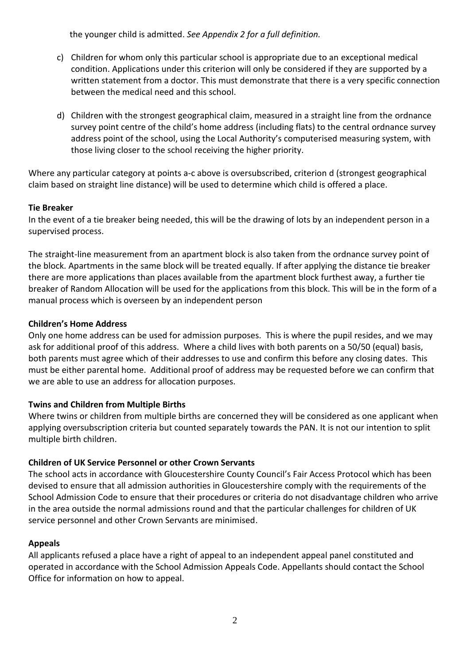the younger child is admitted. *See Appendix 2 for a full definition.*

- c) Children for whom only this particular school is appropriate due to an exceptional medical condition. Applications under this criterion will only be considered if they are supported by a written statement from a doctor. This must demonstrate that there is a very specific connection between the medical need and this school.
- d) Children with the strongest geographical claim, measured in a straight line from the ordnance survey point centre of the child's home address (including flats) to the central ordnance survey address point of the school, using the Local Authority's computerised measuring system, with those living closer to the school receiving the higher priority.

Where any particular category at points a-c above is oversubscribed, criterion d (strongest geographical claim based on straight line distance) will be used to determine which child is offered a place.

#### **Tie Breaker**

In the event of a tie breaker being needed, this will be the drawing of lots by an independent person in a supervised process.

The straight-line measurement from an apartment block is also taken from the ordnance survey point of the block. Apartments in the same block will be treated equally. If after applying the distance tie breaker there are more applications than places available from the apartment block furthest away, a further tie breaker of Random Allocation will be used for the applications from this block. This will be in the form of a manual process which is overseen by an independent person

#### **Children's Home Address**

Only one home address can be used for admission purposes. This is where the pupil resides, and we may ask for additional proof of this address. Where a child lives with both parents on a 50/50 (equal) basis, both parents must agree which of their addresses to use and confirm this before any closing dates. This must be either parental home. Additional proof of address may be requested before we can confirm that we are able to use an address for allocation purposes.

## **Twins and Children from Multiple Births**

Where twins or children from multiple births are concerned they will be considered as one applicant when applying oversubscription criteria but counted separately towards the PAN. It is not our intention to split multiple birth children.

## **Children of UK Service Personnel or other Crown Servants**

The school acts in accordance with Gloucestershire County Council's Fair Access Protocol which has been devised to ensure that all admission authorities in Gloucestershire comply with the requirements of the School Admission Code to ensure that their procedures or criteria do not disadvantage children who arrive in the area outside the normal admissions round and that the particular challenges for children of UK service personnel and other Crown Servants are minimised.

#### **Appeals**

All applicants refused a place have a right of appeal to an independent appeal panel constituted and operated in accordance with the School Admission Appeals Code. Appellants should contact the School Office for information on how to appeal.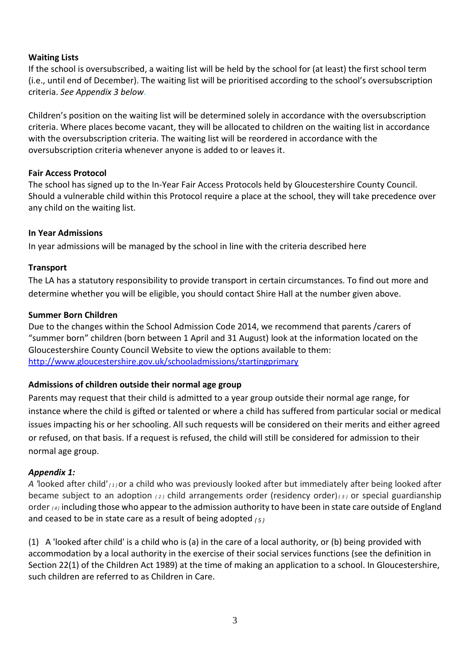### **Waiting Lists**

If the school is oversubscribed, a waiting list will be held by the school for (at least) the first school term (i.e., until end of December). The waiting list will be prioritised according to the school's oversubscription criteria. *See Appendix 3 below*.

Children's position on the waiting list will be determined solely in accordance with the oversubscription criteria. Where places become vacant, they will be allocated to children on the waiting list in accordance with the oversubscription criteria. The waiting list will be reordered in accordance with the oversubscription criteria whenever anyone is added to or leaves it.

#### **Fair Access Protocol**

The school has signed up to the In-Year Fair Access Protocols held by Gloucestershire County Council. Should a vulnerable child within this Protocol require a place at the school, they will take precedence over any child on the waiting list.

#### **In Year Admissions**

In year admissions will be managed by the school in line with the criteria described here

#### **Transport**

The LA has a statutory responsibility to provide transport in certain circumstances. To find out more and determine whether you will be eligible, you should contact Shire Hall at the number given above.

#### **Summer Born Children**

Due to the changes within the School Admission Code 2014, we recommend that parents /carers of "summer born" children (born between 1 April and 31 August) look at the information located on the Gloucestershire County Council Website to view the options available to them: [http://www.gloucestershire.gov.uk/schooladmissions/startingprimary](http://www.gloucestershire.gov.uk/schooladmissions)

## **Admissions of children outside their normal age group**

Parents may request that their child is admitted to a year group outside their normal age range, for instance where the child is gifted or talented or where a child has suffered from particular social or medical issues impacting his or her schooling. All such requests will be considered on their merits and either agreed or refused, on that basis. If a request is refused, the child will still be considered for admission to their normal age group.

## *Appendix 1:*

*A '*looked after child' *( <sup>1</sup> )*or a child who was previously looked after but immediately after being looked after became subject to an adoption *( <sup>2</sup> )* child arrangements order (residency order)*( <sup>3</sup> )* or special guardianship order *( <sup>4</sup> )* including those who appear to the admission authority to have been in state care outside of England and ceased to be in state care as a result of being adopted *( <sup>5</sup> )*

(1) A 'looked after child' is a child who is (a) in the care of a local authority, or (b) being provided with accommodation by a local authority in the exercise of their social services functions (see the definition in Section 22(1) of the Children Act 1989) at the time of making an application to a school. In Gloucestershire, such children are referred to as Children in Care.